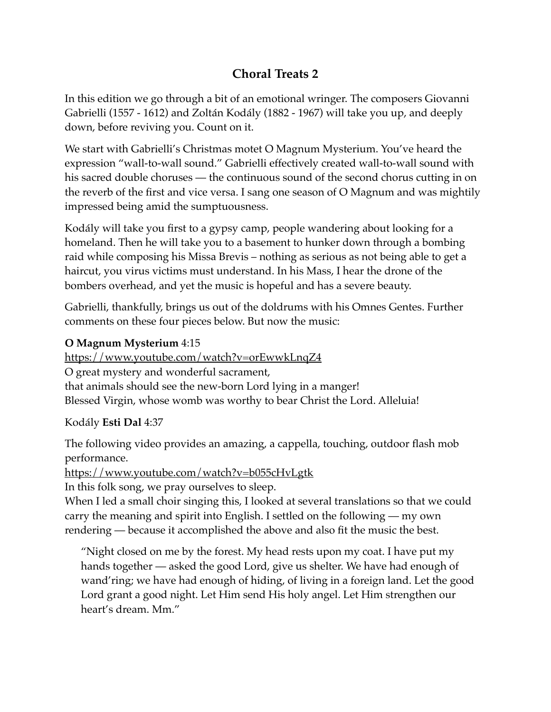## **Choral Treats 2**

In this edition we go through a bit of an emotional wringer. The composers Giovanni Gabrielli (1557 - 1612) and Zoltán Kodály (1882 - 1967) will take you up, and deeply down, before reviving you. Count on it.

We start with Gabrielli's Christmas motet O Magnum Mysterium. You've heard the expression "wall-to-wall sound." Gabrielli effectively created wall-to-wall sound with his sacred double choruses — the continuous sound of the second chorus cutting in on the reverb of the first and vice versa. I sang one season of O Magnum and was mightily impressed being amid the sumptuousness.

Kodály will take you first to a gypsy camp, people wandering about looking for a homeland. Then he will take you to a basement to hunker down through a bombing raid while composing his Missa Brevis – nothing as serious as not being able to get a haircut, you virus victims must understand. In his Mass, I hear the drone of the bombers overhead, and yet the music is hopeful and has a severe beauty.

Gabrielli, thankfully, brings us out of the doldrums with his Omnes Gentes. Further comments on these four pieces below. But now the music:

## **O Magnum Mysterium** 4:15

<https://www.youtube.com/watch?v=orEwwkLnqZ4> O great mystery and wonderful sacrament, that animals should see the new-born Lord lying in a manger! Blessed Virgin, whose womb was worthy to bear Christ the Lord. Alleluia!

Kodály **Esti Dal** 4:37

The following video provides an amazing, a cappella, touching, outdoor flash mob performance.

<https://www.youtube.com/watch?v=b055cHvLgtk>

In this folk song, we pray ourselves to sleep.

When I led a small choir singing this, I looked at several translations so that we could carry the meaning and spirit into English. I settled on the following — my own rendering — because it accomplished the above and also fit the music the best.

"Night closed on me by the forest. My head rests upon my coat. I have put my hands together — asked the good Lord, give us shelter. We have had enough of wand'ring; we have had enough of hiding, of living in a foreign land. Let the good Lord grant a good night. Let Him send His holy angel. Let Him strengthen our heart's dream. Mm."